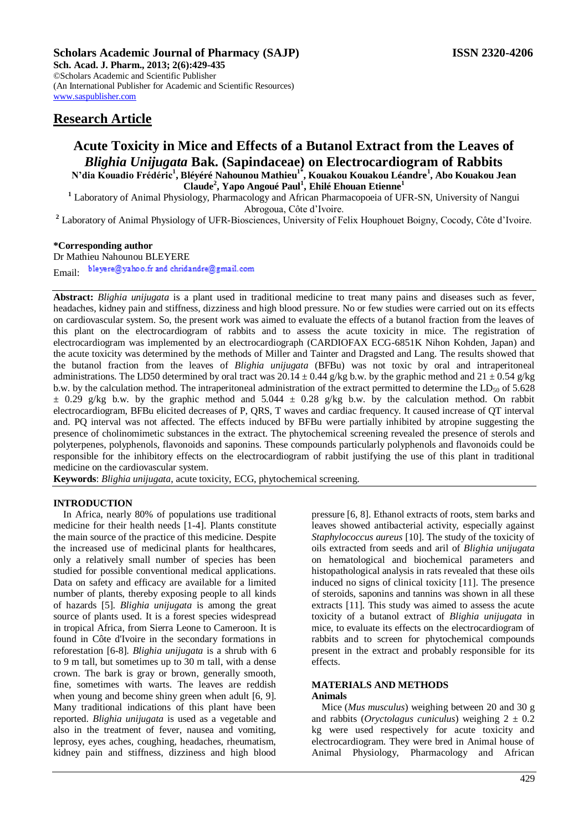**Sch. Acad. J. Pharm., 2013; 2(6):429-435** ©Scholars Academic and Scientific Publisher (An International Publisher for Academic and Scientific Resources) [www.saspublisher.com](http://www.saspublisher.com/) 

# **Research Article**

# **Acute Toxicity in Mice and Effects of a Butanol Extract from the Leaves of**  *Blighia Unijugata* **Bak. (Sapindaceae) on Electrocardiogram of Rabbits N'dia Kouadio Frédéric<sup>1</sup> , Bléyéré Nahounou Mathieu1\* , Kouakou Kouakou Léandre<sup>1</sup> , Abo Kouakou Jean Claude<sup>2</sup> , Yapo Angoué Paul<sup>1</sup> , Ehilé Ehouan Etienne<sup>1</sup>**

**<sup>1</sup>** Laboratory of Animal Physiology, Pharmacology and African Pharmacopoeia of UFR-SN, University of Nangui Abrogoua, Côte d'Ivoire.

**<sup>2</sup>** Laboratory of Animal Physiology of UFR-Biosciences, University of Felix Houphouet Boigny, Cocody, Côte d'Ivoire.

# **\*Corresponding author**

Dr Mathieu Nahounou BLEYERE

bleyere@yahoo.fr and chridandre@gmail.com Email:

**Abstract:** *Blighia unijugata* is a plant used in traditional medicine to treat many pains and diseases such as fever, headaches, kidney pain and stiffness, dizziness and high blood pressure. No or few studies were carried out on its effects on cardiovascular system. So, the present work was aimed to evaluate the effects of a butanol fraction from the leaves of this plant on the electrocardiogram of rabbits and to assess the acute toxicity in mice. The registration of electrocardiogram was implemented by an electrocardiograph (CARDIOFAX ECG-6851K Nihon Kohden, Japan) and the acute toxicity was determined by the methods of Miller and Tainter and Dragsted and Lang. The results showed that the butanol fraction from the leaves of *Blighia unijugata* (BFBu) was not toxic by oral and intraperitoneal administrations. The LD50 determined by oral tract was  $20.14 \pm 0.44$  g/kg b.w. by the graphic method and  $21 \pm 0.54$  g/kg b.w. by the calculation method. The intraperitoneal administration of the extract permitted to determine the  $LD_{50}$  of 5.628  $\pm$  0.29 g/kg b.w. by the graphic method and 5.044  $\pm$  0.28 g/kg b.w. by the calculation method. On rabbit electrocardiogram, BFBu elicited decreases of P, QRS, T waves and cardiac frequency. It caused increase of QT interval and. PQ interval was not affected. The effects induced by BFBu were partially inhibited by atropine suggesting the presence of cholinomimetic substances in the extract. The phytochemical screening revealed the presence of sterols and polyterpenes, polyphenols, flavonoids and saponins. These compounds particularly polyphenols and flavonoids could be responsible for the inhibitory effects on the electrocardiogram of rabbit justifying the use of this plant in traditional medicine on the cardiovascular system.

**Keywords**: *Blighia unijugata*, acute toxicity, ECG, phytochemical screening.

### **INTRODUCTION**

In Africa, nearly 80% of populations use traditional medicine for their health needs [1-4]. Plants constitute the main source of the practice of this medicine. Despite the increased use of medicinal plants for healthcares, only a relatively small number of species has been studied for possible conventional medical applications. Data on safety and efficacy are available for a limited number of plants, thereby exposing people to all kinds of hazards [5]. *Blighia unijugata* is among the great source of plants used. It is a forest species widespread in tropical Africa, from Sierra Leone to Cameroon. It is found in Côte d'Ivoire in the secondary formations in reforestation [6-8]. *Blighia unijugata* is a shrub with 6 to 9 m tall, but sometimes up to 30 m tall, with a dense crown. The bark is gray or brown, generally smooth, fine, sometimes with warts. The leaves are reddish when young and become shiny green when adult [6, 9]. Many traditional indications of this plant have been reported. *Blighia unijugata* is used as a vegetable and also in the treatment of fever, nausea and vomiting, leprosy, eyes aches, coughing, headaches, rheumatism, kidney pain and stiffness, dizziness and high blood

pressure [6, 8]. Ethanol extracts of roots, stem barks and leaves showed antibacterial activity, especially against *Staphylococcus aureus* [10]. The study of the toxicity of oils extracted from seeds and aril of *Blighia unijugata* on hematological and biochemical parameters and histopathological analysis in rats revealed that these oils induced no signs of clinical toxicity [11]. The presence of steroids, saponins and tannins was shown in all these extracts [11]. This study was aimed to assess the acute toxicity of a butanol extract of *Blighia unijugata* in mice, to evaluate its effects on the electrocardiogram of rabbits and to screen for phytochemical compounds present in the extract and probably responsible for its effects.

### **MATERIALS AND METHODS Animals**

Mice (*Mus musculus*) weighing between 20 and 30 g and rabbits (*Oryctolagus cuniculus*) weighing  $2 \pm 0.2$ kg were used respectively for acute toxicity and electrocardiogram. They were bred in Animal house of Animal Physiology, Pharmacology and African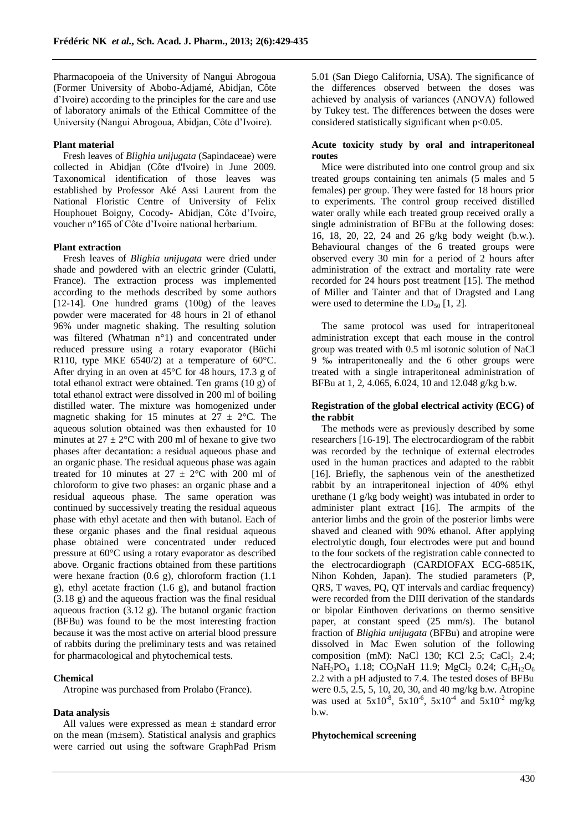Pharmacopoeia of the University of Nangui Abrogoua (Former University of Abobo-Adjamé, Abidjan, Côte d'Ivoire) according to the principles for the care and use of laboratory animals of the Ethical Committee of the University (Nangui Abrogoua, Abidjan, Côte d'Ivoire).

## **Plant material**

Fresh leaves of *Blighia unijugata* (Sapindaceae) were collected in Abidjan (Côte d'Ivoire) in June 2009. Taxonomical identification of those leaves was established by Professor Aké Assi Laurent from the National Floristic Centre of University of Felix Houphouet Boigny, Cocody- Abidjan, Côte d'Ivoire, voucher n°165 of Côte d'Ivoire national herbarium.

#### **Plant extraction**

Fresh leaves of *Blighia unijugata* were dried under shade and powdered with an electric grinder (Culatti, France). The extraction process was implemented according to the methods described by some authors [12-14]. One hundred grams (100g) of the leaves powder were macerated for 48 hours in 2l of ethanol 96% under magnetic shaking. The resulting solution was filtered (Whatman n°1) and concentrated under reduced pressure using a rotary evaporator (Büchi R110, type MKE 6540/2) at a temperature of 60°C. After drying in an oven at 45°C for 48 hours, 17.3 g of total ethanol extract were obtained. Ten grams (10 g) of total ethanol extract were dissolved in 200 ml of boiling distilled water. The mixture was homogenized under magnetic shaking for 15 minutes at  $27 \pm 2$ °C. The aqueous solution obtained was then exhausted for 10 minutes at  $27 \pm 2$ °C with 200 ml of hexane to give two phases after decantation: a residual aqueous phase and an organic phase. The residual aqueous phase was again treated for 10 minutes at  $27 \pm 2$ °C with 200 ml of chloroform to give two phases: an organic phase and a residual aqueous phase. The same operation was continued by successively treating the residual aqueous phase with ethyl acetate and then with butanol. Each of these organic phases and the final residual aqueous phase obtained were concentrated under reduced pressure at 60°C using a rotary evaporator as described above. Organic fractions obtained from these partitions were hexane fraction (0.6 g), chloroform fraction (1.1 g), ethyl acetate fraction (1.6 g), and butanol fraction (3.18 g) and the aqueous fraction was the final residual aqueous fraction (3.12 g). The butanol organic fraction (BFBu) was found to be the most interesting fraction because it was the most active on arterial blood pressure of rabbits during the preliminary tests and was retained for pharmacological and phytochemical tests.

# **Chemical**

Atropine was purchased from Prolabo (France).

# **Data analysis**

All values were expressed as mean ± standard error on the mean (m±sem). Statistical analysis and graphics were carried out using the software GraphPad Prism 5.01 (San Diego California, USA). The significance of the differences observed between the doses was achieved by analysis of variances (ANOVA) followed by Tukey test. The differences between the doses were considered statistically significant when p<0.05.

# **Acute toxicity study by oral and intraperitoneal routes**

Mice were distributed into one control group and six treated groups containing ten animals (5 males and 5 females) per group. They were fasted for 18 hours prior to experiments. The control group received distilled water orally while each treated group received orally a single administration of BFBu at the following doses: 16, 18, 20, 22, 24 and 26 g/kg body weight (b.w.). Behavioural changes of the 6 treated groups were observed every 30 min for a period of 2 hours after administration of the extract and mortality rate were recorded for 24 hours post treatment [15]. The method of Miller and Tainter and that of Dragsted and Lang were used to determine the  $LD_{50}$  [1, 2].

The same protocol was used for intraperitoneal administration except that each mouse in the control group was treated with 0.5 ml isotonic solution of NaCl 9 ‰ intraperitoneally and the 6 other groups were treated with a single intraperitoneal administration of BFBu at 1, 2, 4.065, 6.024, 10 and 12.048 g/kg b.w.

### **Registration of the global electrical activity (ECG) of the rabbit**

The methods were as previously described by some researchers [16-19]. The electrocardiogram of the rabbit was recorded by the technique of external electrodes used in the human practices and adapted to the rabbit [16]. Briefly, the saphenous vein of the anesthetized rabbit by an intraperitoneal injection of 40% ethyl urethane (1 g/kg body weight) was intubated in order to administer plant extract [16]. The armpits of the anterior limbs and the groin of the posterior limbs were shaved and cleaned with 90% ethanol. After applying electrolytic dough, four electrodes were put and bound to the four sockets of the registration cable connected to the electrocardiograph (CARDIOFAX ECG-6851K, Nihon Kohden, Japan). The studied parameters (P, QRS, T waves, PQ, QT intervals and cardiac frequency) were recorded from the DIII derivation of the standards or bipolar Einthoven derivations on thermo sensitive paper, at constant speed (25 mm/s). The butanol fraction of *Blighia unijugata* (BFBu) and atropine were dissolved in Mac Ewen solution of the following composition (mM): NaCl 130; KCl 2.5; CaCl  $2.4$ ; NaH<sub>2</sub>PO<sub>4</sub> 1.18; CO<sub>3</sub>NaH 11.9; MgCl<sub>2</sub> 0.24; C<sub>6</sub>H<sub>12</sub>O<sub>6</sub> 2.2 with a pH adjusted to 7.4. The tested doses of BFBu were 0.5, 2.5, 5, 10, 20, 30, and 40 mg/kg b.w. Atropine was used at  $5x10^{-8}$ ,  $5x10^{-6}$ ,  $5x10^{-4}$  and  $5x10^{-2}$  mg/kg b.w.

# **Phytochemical screening**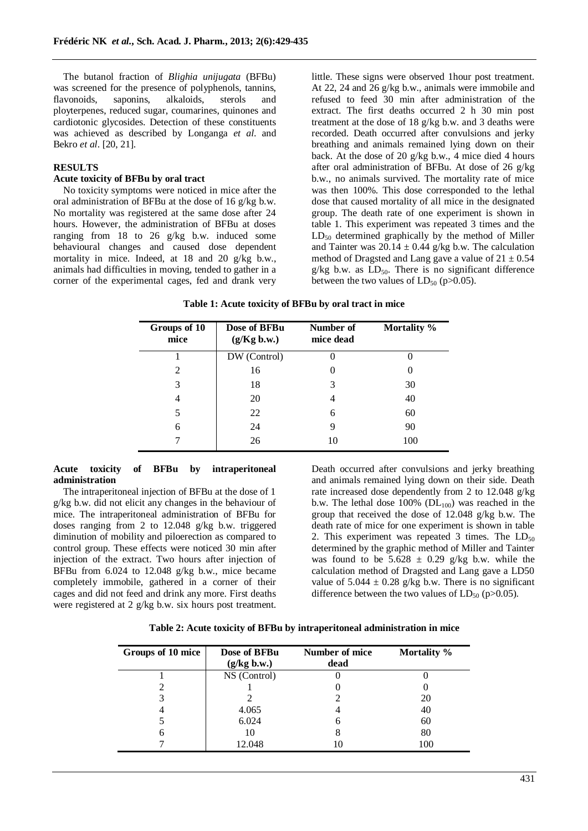The butanol fraction of *Blighia unijugata* (BFBu) was screened for the presence of polyphenols, tannins, flavonoids, saponins, alkaloids, sterols and ployterpenes, reduced sugar, coumarines, quinones and cardiotonic glycosides. Detection of these constituents was achieved as described by Longanga *et al*. and Bekro *et al*. [20, 21].

# **RESULTS**

### **Acute toxicity of BFBu by oral tract**

No toxicity symptoms were noticed in mice after the oral administration of BFBu at the dose of 16 g/kg b.w. No mortality was registered at the same dose after 24 hours. However, the administration of BFBu at doses ranging from 18 to 26 g/kg b.w. induced some behavioural changes and caused dose dependent mortality in mice. Indeed, at 18 and 20 g/kg b.w., animals had difficulties in moving, tended to gather in a corner of the experimental cages, fed and drank very

little. These signs were observed 1hour post treatment. At 22, 24 and 26 g/kg b.w., animals were immobile and refused to feed 30 min after administration of the extract. The first deaths occurred 2 h 30 min post treatment at the dose of 18 g/kg b.w. and 3 deaths were recorded. Death occurred after convulsions and jerky breathing and animals remained lying down on their back. At the dose of 20 g/kg b.w., 4 mice died 4 hours after oral administration of BFBu. At dose of 26 g/kg b.w., no animals survived. The mortality rate of mice was then 100%. This dose corresponded to the lethal dose that caused mortality of all mice in the designated group. The death rate of one experiment is shown in table 1. This experiment was repeated 3 times and the  $LD_{50}$  determined graphically by the method of Miller and Tainter was  $20.14 \pm 0.44$  g/kg b.w. The calculation method of Dragsted and Lang gave a value of  $21 \pm 0.54$  $g/kg$  b.w. as  $LD_{50}$ . There is no significant difference between the two values of  $LD_{50}$  (p $>0.05$ ).

|  |  | Table 1: Acute toxicity of BFBu by oral tract in mice |
|--|--|-------------------------------------------------------|
|  |  |                                                       |

| Groups of 10<br>mice | Dose of BFBu<br>(g/Kg b.w.) | Number of<br>mice dead | Mortality % |
|----------------------|-----------------------------|------------------------|-------------|
|                      | DW (Control)                |                        |             |
| 2                    | 16                          | $\theta$               |             |
| 3                    | 18                          | 3                      | 30          |
| 4                    | 20                          | 4                      | 40          |
| 5                    | 22                          | 6                      | 60          |
| 6                    | 24                          | 9                      | 90          |
|                      | 26                          | 10                     | 100         |

### **Acute toxicity of BFBu by intraperitoneal administration**

The intraperitoneal injection of BFBu at the dose of 1 g/kg b.w. did not elicit any changes in the behaviour of mice. The intraperitoneal administration of BFBu for doses ranging from 2 to 12.048 g/kg b.w. triggered diminution of mobility and piloerection as compared to control group. These effects were noticed 30 min after injection of the extract. Two hours after injection of BFBu from 6.024 to 12.048 g/kg b.w., mice became completely immobile, gathered in a corner of their cages and did not feed and drink any more. First deaths were registered at 2 g/kg b.w. six hours post treatment.

Death occurred after convulsions and jerky breathing and animals remained lying down on their side. Death rate increased dose dependently from 2 to 12.048 g/kg b.w. The lethal dose  $100\%$  (DL $_{100}$ ) was reached in the group that received the dose of 12.048 g/kg b.w. The death rate of mice for one experiment is shown in table 2. This experiment was repeated 3 times. The  $LD_{50}$ determined by the graphic method of Miller and Tainter was found to be  $5.628 \pm 0.29$  g/kg b.w. while the calculation method of Dragsted and Lang gave a LD50 value of  $5.044 \pm 0.28$  g/kg b.w. There is no significant difference between the two values of  $LD_{50}$  (p $>0.05$ ).

| Groups of 10 mice | Dose of BFBu<br>(g/kg b.w.) | Number of mice<br>dead | Mortality % |
|-------------------|-----------------------------|------------------------|-------------|
|                   | NS (Control)                |                        |             |
|                   |                             |                        |             |
|                   |                             |                        | 20          |
|                   | 4.065                       |                        | 40          |
|                   | 6.024                       | h                      | 60          |
| n                 | 10                          |                        | 80          |
|                   | 12.048                      | 10                     | 100         |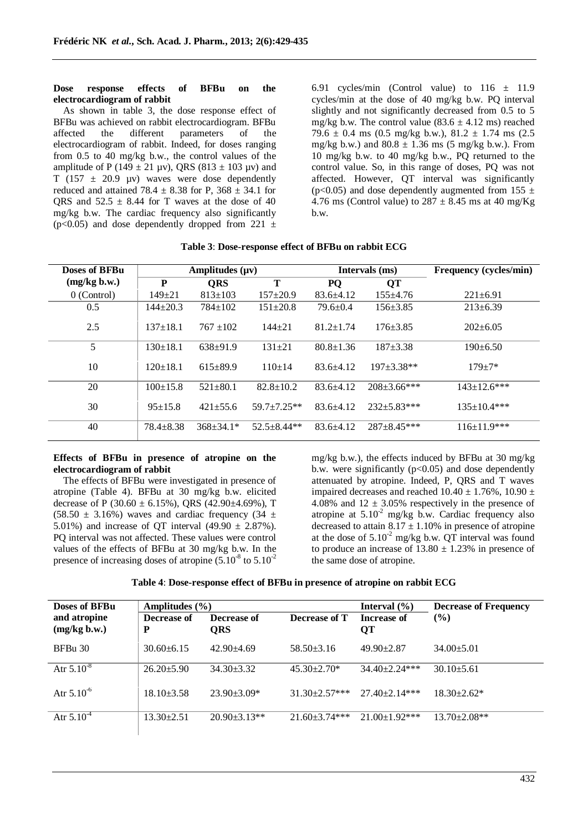#### **Dose response effects of BFBu on the electrocardiogram of rabbit**

As shown in table 3, the dose response effect of BFBu was achieved on rabbit electrocardiogram. BFBu affected the different parameters of the electrocardiogram of rabbit. Indeed, for doses ranging from 0.5 to 40 mg/kg b.w., the control values of the amplitude of P (149  $\pm$  21 µv), QRS (813  $\pm$  103 µv) and T (157  $\pm$  20.9 µv) waves were dose dependently reduced and attained 78.4  $\pm$  8.38 for P, 368  $\pm$  34.1 for QRS and  $52.5 \pm 8.44$  for T waves at the dose of 40 mg/kg b.w. The cardiac frequency also significantly  $(p<0.05)$  and dose dependently dropped from 221  $\pm$ 

6.91 cycles/min (Control value) to  $116 \pm 11.9$ cycles/min at the dose of 40 mg/kg b.w. PQ interval slightly and not significantly decreased from 0.5 to 5 mg/kg b.w. The control value  $(83.6 \pm 4.12 \text{ ms})$  reached 79.6  $\pm$  0.4 ms (0.5 mg/kg b.w.), 81.2  $\pm$  1.74 ms (2.5) mg/kg b.w.) and  $80.8 \pm 1.36$  ms (5 mg/kg b.w.). From 10 mg/kg b.w. to 40 mg/kg b.w., PQ returned to the control value. So, in this range of doses, PQ was not affected. However, QT interval was significantly (p<0.05) and dose dependently augmented from 155  $\pm$ 4.76 ms (Control value) to  $287 \pm 8.45$  ms at 40 mg/Kg b.w.

| Doses of BFBu | Amplitudes $(\mu \nu)$ |                 |                 | Intervals (ms)  |                    | Frequency (cycles/min) |
|---------------|------------------------|-----------------|-----------------|-----------------|--------------------|------------------------|
| (mg/kg b.w.)  | P                      | <b>QRS</b>      | T               | PQ              | <b>QT</b>          |                        |
| 0 (Control)   | $149 \pm 21$           | $813 \pm 103$   | $157 \pm 20.9$  | $83.6 \pm 4.12$ | $155+4.76$         | $221 \pm 6.91$         |
| 0.5           | $144 \pm 20.3$         | $784 \pm 102$   | $151 \pm 20.8$  | $79.6 \pm 0.4$  | $156 \pm 3.85$     | $213 \pm 6.39$         |
| 2.5           | $137+18.1$             | $767 + 102$     | $144 + 21$      | $81.2 \pm 1.74$ | $176 \pm 3.85$     | $202 \pm 6.05$         |
| 5             | $130 \pm 18.1$         | $638+91.9$      | $131 \pm 21$    | $80.8 \pm 1.36$ | $187 + 3.38$       | $190+6.50$             |
| 10            | $120+18.1$             | $615+89.9$      | $110+14$        | $83.6 + 4.12$   | $197 + 3.38**$     | $179 + 7*$             |
| 20            | $100 \pm 15.8$         | $521 \pm 80.1$  | $82.8 \pm 10.2$ | $83.6 \pm 4.12$ | $208 \pm 3.66$ *** | $143 \pm 12.6$ ***     |
| 30            | $95 \pm 15.8$          | $421 + 55.6$    | $59.7 + 7.25**$ | $83.6 + 4.12$   | $232 + 5.83***$    | $135 \pm 10.4$ ***     |
| 40            | $78.4 + 8.38$          | $368 \pm 34.1*$ | $52.5 + 8.44**$ | $83.6 + 4.12$   | $287 + 8.45***$    | $116 \pm 11.9$ ***     |

### **Table 3**: **Dose-response effect of BFBu on rabbit ECG**

# **Effects of BFBu in presence of atropine on the electrocardiogram of rabbit**

The effects of BFBu were investigated in presence of atropine (Table 4). BFBu at 30 mg/kg b.w. elicited decrease of P (30.60  $\pm$  6.15%), QRS (42.90 $\pm$ 4.69%), T  $(58.50 \pm 3.16\%)$  waves and cardiac frequency  $(34 \pm 16\%)$ 5.01%) and increase of OT interval  $(49.90 \pm 2.87\%)$ . PQ interval was not affected. These values were control values of the effects of BFBu at 30 mg/kg b.w. In the presence of increasing doses of atropine  $(5.10^8 \text{ to } 5.10^2)$ 

mg/kg b.w.), the effects induced by BFBu at 30 mg/kg b.w. were significantly  $(p<0.05)$  and dose dependently attenuated by atropine. Indeed, P, QRS and T waves impaired decreases and reached  $10.40 \pm 1.76$ %,  $10.90 \pm$ 4.08% and  $12 \pm 3.05\%$  respectively in the presence of atropine at  $5.10^{-2}$  mg/kg b.w. Cardiac frequency also decreased to attain  $8.17 \pm 1.10\%$  in presence of atropine at the dose of  $5.10^{-2}$  mg/kg b.w. OT interval was found to produce an increase of  $13.80 \pm 1.23\%$  in presence of the same dose of atropine.

| <b>Doses of BFBu</b>         | Amplitudes $(\% )$ |                    |                      | Interval $(\% )$     | <b>Decrease of Frequency</b> |
|------------------------------|--------------------|--------------------|----------------------|----------------------|------------------------------|
| and atropine<br>(mg/kg b.w.) | Decrease of<br>P   | Decrease of<br>ORS | Decrease of T        | Increase of<br>QT    | $(\%)$                       |
| BFBu 30                      | $30.60 \pm 6.15$   | $42.90 + 4.69$     | $58.50+3.16$         | $49.90 \pm 2.87$     | $34.00 \pm 5.01$             |
| Atr $5.10^{-8}$              | $26.20 \pm 5.90$   | $34.30 \pm 3.32$   | $45.30 \pm 2.70*$    | $34.40 + 2.24$ ***   | $30.10+5.61$                 |
| Atr $5.10^{-6}$              | $18.10\pm3.58$     | $23.90 \pm 3.09*$  | $31.30 \pm 2.57$ *** | $27.40 \pm 2.14$ *** | $18.30 \pm 2.62^*$           |
| Atr $5.10^4$                 | $13.30 \pm 2.51$   | $20.90 \pm 3.13**$ | $21.60 \pm 3.74$ *** | $21.00+1.92***$      | $13.70 \pm 2.08$ **          |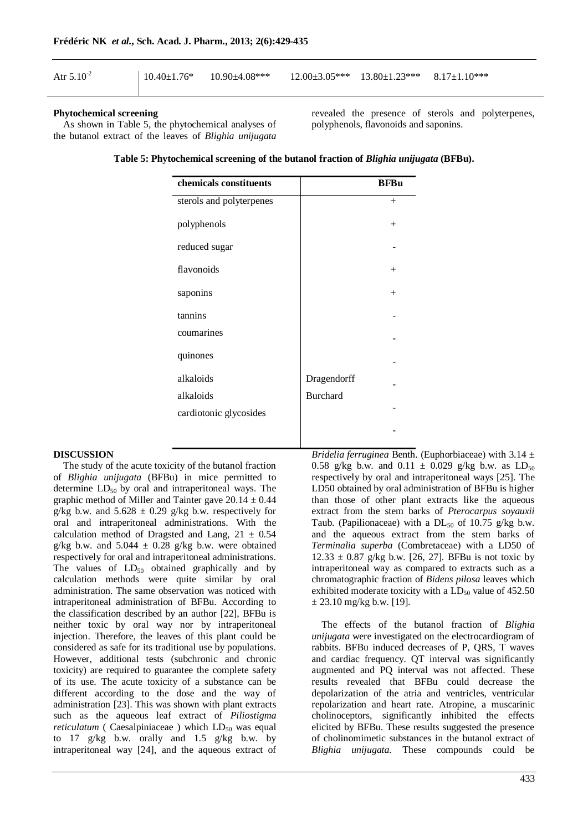| Atr $5.10^{2}$ | $10.40\pm1.76*$ $10.90\pm4.08***$ $12.00\pm3.05***$ $13.80\pm1.23***$ $8.17\pm1.10***$ |  |  |
|----------------|----------------------------------------------------------------------------------------|--|--|
|                |                                                                                        |  |  |

### **Phytochemical screening**

As shown in Table 5, the phytochemical analyses of the butanol extract of the leaves of *Blighia unijugata* revealed the presence of sterols and polyterpenes, polyphenols, flavonoids and saponins.

**Table 5: Phytochemical screening of the butanol fraction of** *Blighia unijugata* **(BFBu).**

| chemicals constituents   |                 | <b>BFBu</b> |
|--------------------------|-----------------|-------------|
| sterols and polyterpenes |                 | $^{+}$      |
| polyphenols              |                 | $^{+}$      |
| reduced sugar            |                 |             |
| flavonoids               |                 | $^{+}$      |
| saponins                 |                 | $+$         |
| tannins                  |                 |             |
| coumarines               |                 |             |
| quinones                 |                 |             |
| alkaloids                | Dragendorff     |             |
| alkaloids                | <b>Burchard</b> |             |
| cardiotonic glycosides   |                 |             |
|                          |                 |             |

#### **DISCUSSION**

The study of the acute toxicity of the butanol fraction of *Blighia unijugata* (BFBu) in mice permitted to determine  $LD_{50}$  by oral and intraperitoneal ways. The graphic method of Miller and Tainter gave  $20.14 \pm 0.44$ g/kg b.w. and  $5.628 \pm 0.29$  g/kg b.w. respectively for oral and intraperitoneal administrations. With the calculation method of Dragsted and Lang,  $21 \pm 0.54$ g/kg b.w. and  $5.044 \pm 0.28$  g/kg b.w. were obtained respectively for oral and intraperitoneal administrations. The values of  $LD_{50}$  obtained graphically and by calculation methods were quite similar by oral administration. The same observation was noticed with intraperitoneal administration of BFBu. According to the classification described by an author [22], BFBu is neither toxic by oral way nor by intraperitoneal injection. Therefore, the leaves of this plant could be considered as safe for its traditional use by populations. However, additional tests (subchronic and chronic toxicity) are required to guarantee the complete safety of its use. The acute toxicity of a substance can be different according to the dose and the way of administration [23]. This was shown with plant extracts such as the aqueous leaf extract of *Piliostigma reticulatum* ( Caesalpiniaceae ) which LD<sub>50</sub> was equal to 17 g/kg b.w. orally and 1.5 g/kg b.w. by intraperitoneal way [24], and the aqueous extract of *Bridelia ferruginea* Benth. (Euphorbiaceae) with 3.14 ± 0.58 g/kg b.w. and  $0.11 \pm 0.029$  g/kg b.w. as  $LD_{50}$ respectively by oral and intraperitoneal ways [25]. The LD50 obtained by oral administration of BFBu is higher than those of other plant extracts like the aqueous extract from the stem barks of *Pterocarpus soyauxii*  Taub. (Papilionaceae) with a  $DL_{50}$  of 10.75 g/kg b.w. and the aqueous extract from the stem barks of *Terminalia superba* (Combretaceae) with a LD50 of  $12.33 \pm 0.87$  g/kg b.w. [26, 27]. BFBu is not toxic by intraperitoneal way as compared to extracts such as a chromatographic fraction of *Bidens pilosa* leaves which exhibited moderate toxicity with a  $LD_{50}$  value of 452.50  $\pm$  23.10 mg/kg b.w. [19].

The effects of the butanol fraction of *Blighia unijugata* were investigated on the electrocardiogram of rabbits. BFBu induced decreases of P, QRS, T waves and cardiac frequency. QT interval was significantly augmented and PQ interval was not affected. These results revealed that BFBu could decrease the depolarization of the atria and ventricles, ventricular repolarization and heart rate. Atropine, a muscarinic cholinoceptors, significantly inhibited the effects elicited by BFBu. These results suggested the presence of cholinomimetic substances in the butanol extract of *Blighia unijugata.* These compounds could be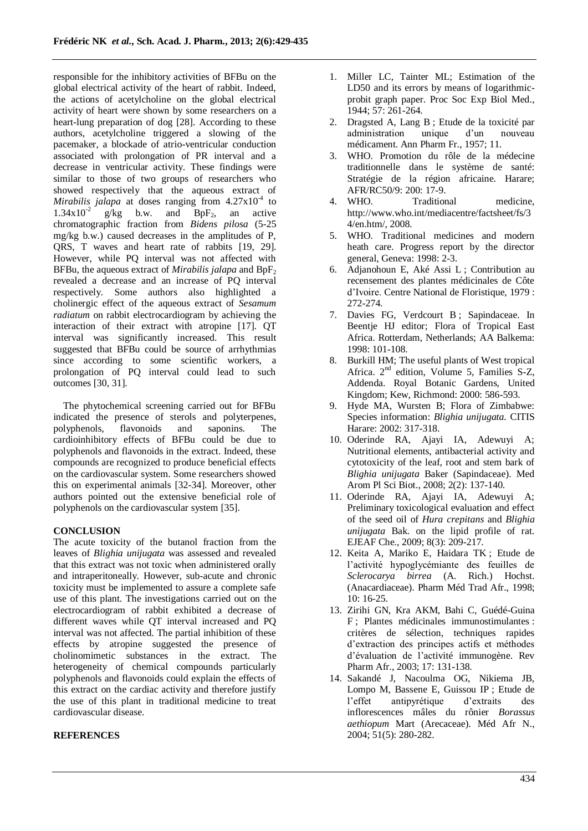responsible for the inhibitory activities of BFBu on the global electrical activity of the heart of rabbit. Indeed, the actions of acetylcholine on the global electrical activity of heart were shown by some researchers on a heart-lung preparation of dog [28]. According to these authors, acetylcholine triggered a slowing of the pacemaker, a blockade of atrio-ventricular conduction associated with prolongation of PR interval and a decrease in ventricular activity. These findings were similar to those of two groups of researchers who showed respectively that the aqueous extract of *Mirabilis jalapa* at doses ranging from 4.27x10<sup>-4</sup> to  $1.34 \times 10^{-2}$  $g/kg$  b.w. and BpF<sub>2</sub>, an active chromatographic fraction from *Bidens pilosa* (5-25 mg/kg b.w.) caused decreases in the amplitudes of P, QRS, T waves and heart rate of rabbits [19, 29]. However, while PQ interval was not affected with BFBu, the aqueous extract of *Mirabilis jalapa* and BpF<sub>2</sub> revealed a decrease and an increase of PQ interval respectively. Some authors also highlighted a cholinergic effect of the aqueous extract of *Sesamum radiatum* on rabbit electrocardiogram by achieving the interaction of their extract with atropine [17]. QT interval was significantly increased. This result suggested that BFBu could be source of arrhythmias since according to some scientific workers, a prolongation of PQ interval could lead to such outcomes [30, 31].

The phytochemical screening carried out for BFBu indicated the presence of sterols and polyterpenes,<br>polyphenols. flavonoids and saponins. The polyphenols, flavonoids and saponins. The cardioinhibitory effects of BFBu could be due to polyphenols and flavonoids in the extract. Indeed, these compounds are recognized to produce beneficial effects on the cardiovascular system. Some researchers showed this on experimental animals [32-34]. Moreover, other authors pointed out the extensive beneficial role of polyphenols on the cardiovascular system [35].

# **CONCLUSION**

The acute toxicity of the butanol fraction from the leaves of *Blighia unijugata* was assessed and revealed that this extract was not toxic when administered orally and intraperitoneally. However, sub-acute and chronic toxicity must be implemented to assure a complete safe use of this plant. The investigations carried out on the electrocardiogram of rabbit exhibited a decrease of different waves while QT interval increased and PQ interval was not affected. The partial inhibition of these effects by atropine suggested the presence of cholinomimetic substances in the extract. The heterogeneity of chemical compounds particularly polyphenols and flavonoids could explain the effects of this extract on the cardiac activity and therefore justify the use of this plant in traditional medicine to treat cardiovascular disease.

# **REFERENCES**

- 1. Miller LC, Tainter ML; Estimation of the LD50 and its errors by means of logarithmicprobit graph paper. Proc Soc Exp Biol Med., 1944; 57: 261-264.
- 2. Dragsted A, Lang B ; Etude de la toxicité par administration unique d'un nouveau médicament. Ann Pharm Fr., 1957; 11.
- 3. WHO. Promotion du rôle de la médecine traditionnelle dans le système de santé: Stratégie de la région africaine. Harare; AFR/RC50/9: 200: 17-9.
- 4. WHO. Traditional medicine, http://www.who.int/mediacentre/factsheet/fs/3 4/en.htm/, 2008.
- 5. WHO. Traditional medicines and modern heath care. Progress report by the director general, Geneva: 1998: 2-3.
- 6. Adjanohoun E, Aké Assi L ; Contribution au recensement des plantes médicinales de Côte d'Ivoire. Centre National de Floristique, 1979 : 272-274.
- 7. Davies FG, Verdcourt B ; Sapindaceae. In Beentje HJ editor; Flora of Tropical East Africa. Rotterdam, Netherlands; AA Balkema: 1998: 101-108.
- 8. Burkill HM; The useful plants of West tropical Africa. 2nd edition, Volume 5, Families S-Z, Addenda. Royal Botanic Gardens, United Kingdom; Kew, Richmond: 2000: 586-593.
- 9. Hyde MA, Wursten B; Flora of Zimbabwe: Species information: *Blighia unijugata.* CITIS Harare: 2002: 317-318.
- 10. Oderinde RA, Ajayi IA, Adewuyi A; Nutritional elements, antibacterial activity and cytotoxicity of the leaf, root and stem bark of *Blighia unijugata* Baker (Sapindaceae). Med Arom Pl Sci Biot., 2008; 2(2): 137-140.
- 11. Oderinde RA, Ajayi IA, Adewuyi A; Preliminary toxicological evaluation and effect of the seed oil of *Hura crepitans* and *Blighia unijugata* Bak. on the lipid profile of rat. EJEAF Che., 2009; 8(3): 209-217.
- 12. Keita A, Mariko E, Haidara TK ; Etude de l'activité hypoglycémiante des feuilles de *Sclerocarya birrea* (A. Rich.) Hochst. (Anacardiaceae). Pharm Méd Trad Afr., 1998; 10: 16-25.
- 13. Zirihi GN, Kra AKM, Bahi C, Guédé-Guina F ; Plantes médicinales immunostimulantes : critères de sélection, techniques rapides d'extraction des principes actifs et méthodes d'évaluation de l'activité immunogène. Rev Pharm Afr., 2003; 17: 131-138.
- 14. Sakandé J, Nacoulma OG, Nikiema JB, Lompo M, Bassene E, Guissou IP ; Etude de l'effet antipyrétique d'extraits des inflorescences mâles du rônier *Borassus aethiopum* Mart (Arecaceae). Méd Afr N., 2004; 51(5): 280-282.